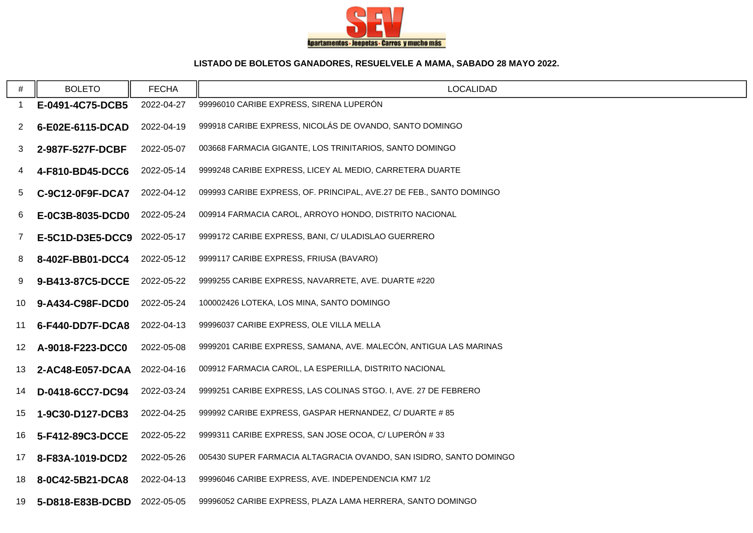

## **LISTADO DE BOLETOS GANADORES, RESUELVELE A MAMA, SABADO 28 MAYO 2022.**

| #               | <b>BOLETO</b>    | <b>FECHA</b> | <b>LOCALIDAD</b>                                                    |
|-----------------|------------------|--------------|---------------------------------------------------------------------|
| 1               | E-0491-4C75-DCB5 | 2022-04-27   | 99996010 CARIBE EXPRESS, SIRENA LUPERÓN                             |
| 2               | 6-E02E-6115-DCAD | 2022-04-19   | 999918 CARIBE EXPRESS, NICOLÁS DE OVANDO, SANTO DOMINGO             |
| 3               | 2-987F-527F-DCBF | 2022-05-07   | 003668 FARMACIA GIGANTE, LOS TRINITARIOS, SANTO DOMINGO             |
| 4               | 4-F810-BD45-DCC6 | 2022-05-14   | 9999248 CARIBE EXPRESS, LICEY AL MEDIO, CARRETERA DUARTE            |
| 5               | C-9C12-0F9F-DCA7 | 2022-04-12   | 099993 CARIBE EXPRESS, OF. PRINCIPAL, AVE.27 DE FEB., SANTO DOMINGO |
| 6               | E-0C3B-8035-DCD0 | 2022-05-24   | 009914 FARMACIA CAROL, ARROYO HONDO, DISTRITO NACIONAL              |
| 7 <sup>7</sup>  | E-5C1D-D3E5-DCC9 | 2022-05-17   | 9999172 CARIBE EXPRESS, BANI, C/ ULADISLAO GUERRERO                 |
| 8               | 8-402F-BB01-DCC4 | 2022-05-12   | 9999117 CARIBE EXPRESS, FRIUSA (BAVARO)                             |
| 9               | 9-B413-87C5-DCCE | 2022-05-22   | 9999255 CARIBE EXPRESS, NAVARRETE, AVE. DUARTE #220                 |
| 10              | 9-A434-C98F-DCD0 | 2022-05-24   | 100002426 LOTEKA, LOS MINA, SANTO DOMINGO                           |
| 11              | 6-F440-DD7F-DCA8 | 2022-04-13   | 99996037 CARIBE EXPRESS, OLE VILLA MELLA                            |
| 12 <sub>2</sub> | A-9018-F223-DCC0 | 2022-05-08   | 9999201 CARIBE EXPRESS, SAMANA, AVE. MALECÓN, ANTIGUA LAS MARINAS   |
| 13              | 2-AC48-E057-DCAA | 2022-04-16   | 009912 FARMACIA CAROL, LA ESPERILLA, DISTRITO NACIONAL              |
| 14              | D-0418-6CC7-DC94 | 2022-03-24   | 9999251 CARIBE EXPRESS, LAS COLINAS STGO. I, AVE. 27 DE FEBRERO     |
| 15              | 1-9C30-D127-DCB3 | 2022-04-25   | 999992 CARIBE EXPRESS, GASPAR HERNANDEZ, C/ DUARTE # 85             |
| 16              | 5-F412-89C3-DCCE | 2022-05-22   | 9999311 CARIBE EXPRESS, SAN JOSE OCOA, C/ LUPERÓN #33               |
| 17              | 8-F83A-1019-DCD2 | 2022-05-26   | 005430 SUPER FARMACIA ALTAGRACIA OVANDO, SAN ISIDRO, SANTO DOMINGO  |
| 18              | 8-0C42-5B21-DCA8 | 2022-04-13   | 99996046 CARIBE EXPRESS, AVE. INDEPENDENCIA KM7 1/2                 |
| 19              | 5-D818-E83B-DCBD | 2022-05-05   | 99996052 CARIBE EXPRESS, PLAZA LAMA HERRERA, SANTO DOMINGO          |